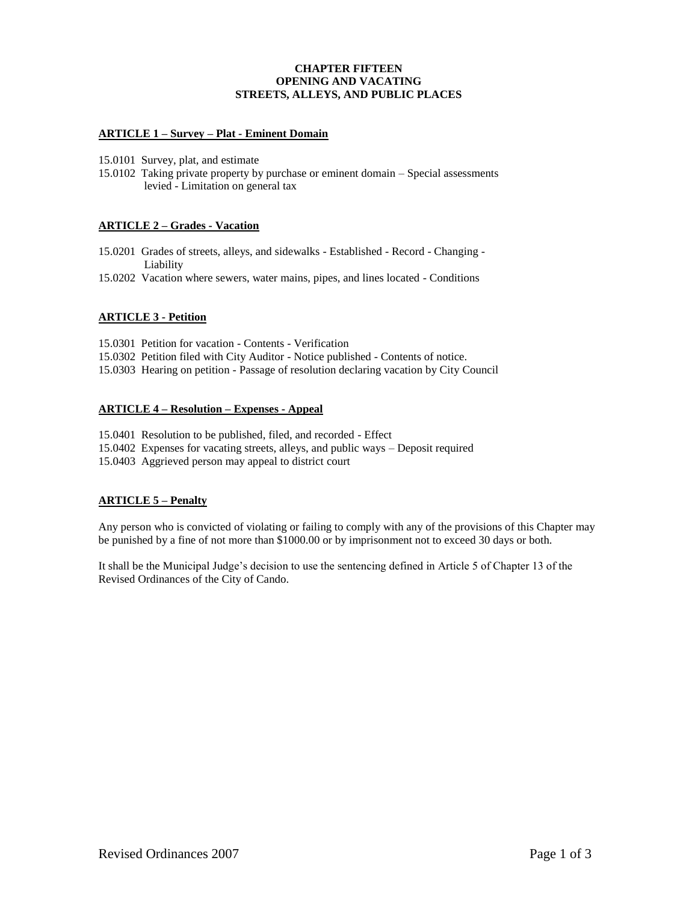## **CHAPTER FIFTEEN OPENING AND VACATING STREETS, ALLEYS, AND PUBLIC PLACES**

## **ARTICLE 1 – Survey – Plat - Eminent Domain**

- 15.0101 Survey, plat, and estimate
- 15.0102 Taking private property by purchase or eminent domain Special assessments levied - Limitation on general tax

## **ARTICLE 2 – Grades - Vacation**

- 15.0201 Grades of streets, alleys, and sidewalks Established Record Changing Liability
- 15.0202 Vacation where sewers, water mains, pipes, and lines located Conditions

## **ARTICLE 3 - Petition**

15.0301 Petition for vacation - Contents - Verification

- 15.0302 Petition filed with City Auditor Notice published Contents of notice.
- 15.0303 Hearing on petition Passage of resolution declaring vacation by City Council

## **ARTICLE 4 – Resolution – Expenses - Appeal**

15.0401 Resolution to be published, filed, and recorded - Effect

15.0402 Expenses for vacating streets, alleys, and public ways – Deposit required

15.0403 Aggrieved person may appeal to district court

## **ARTICLE 5 – Penalty**

Any person who is convicted of violating or failing to comply with any of the provisions of this Chapter may be punished by a fine of not more than \$1000.00 or by imprisonment not to exceed 30 days or both.

It shall be the Municipal Judge's decision to use the sentencing defined in Article 5 of Chapter 13 of the Revised Ordinances of the City of Cando.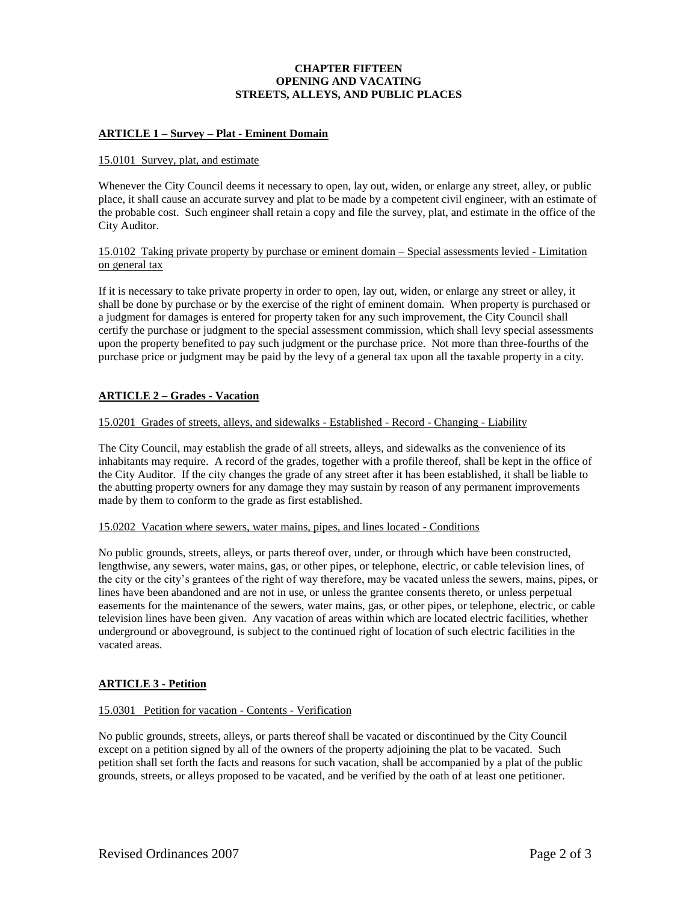# **CHAPTER FIFTEEN OPENING AND VACATING STREETS, ALLEYS, AND PUBLIC PLACES**

# **ARTICLE 1 – Survey – Plat - Eminent Domain**

### 15.0101 Survey, plat, and estimate

Whenever the City Council deems it necessary to open, lay out, widen, or enlarge any street, alley, or public place, it shall cause an accurate survey and plat to be made by a competent civil engineer, with an estimate of the probable cost. Such engineer shall retain a copy and file the survey, plat, and estimate in the office of the City Auditor.

### 15.0102 Taking private property by purchase or eminent domain – Special assessments levied - Limitation on general tax

If it is necessary to take private property in order to open, lay out, widen, or enlarge any street or alley, it shall be done by purchase or by the exercise of the right of eminent domain. When property is purchased or a judgment for damages is entered for property taken for any such improvement, the City Council shall certify the purchase or judgment to the special assessment commission, which shall levy special assessments upon the property benefited to pay such judgment or the purchase price. Not more than three-fourths of the purchase price or judgment may be paid by the levy of a general tax upon all the taxable property in a city.

## **ARTICLE 2 – Grades - Vacation**

### 15.0201 Grades of streets, alleys, and sidewalks - Established - Record - Changing - Liability

The City Council, may establish the grade of all streets, alleys, and sidewalks as the convenience of its inhabitants may require. A record of the grades, together with a profile thereof, shall be kept in the office of the City Auditor. If the city changes the grade of any street after it has been established, it shall be liable to the abutting property owners for any damage they may sustain by reason of any permanent improvements made by them to conform to the grade as first established.

#### 15.0202 Vacation where sewers, water mains, pipes, and lines located - Conditions

No public grounds, streets, alleys, or parts thereof over, under, or through which have been constructed, lengthwise, any sewers, water mains, gas, or other pipes, or telephone, electric, or cable television lines, of the city or the city's grantees of the right of way therefore, may be vacated unless the sewers, mains, pipes, or lines have been abandoned and are not in use, or unless the grantee consents thereto, or unless perpetual easements for the maintenance of the sewers, water mains, gas, or other pipes, or telephone, electric, or cable television lines have been given. Any vacation of areas within which are located electric facilities, whether underground or aboveground, is subject to the continued right of location of such electric facilities in the vacated areas.

## **ARTICLE 3 - Petition**

## 15.0301 Petition for vacation - Contents - Verification

No public grounds, streets, alleys, or parts thereof shall be vacated or discontinued by the City Council except on a petition signed by all of the owners of the property adjoining the plat to be vacated. Such petition shall set forth the facts and reasons for such vacation, shall be accompanied by a plat of the public grounds, streets, or alleys proposed to be vacated, and be verified by the oath of at least one petitioner.